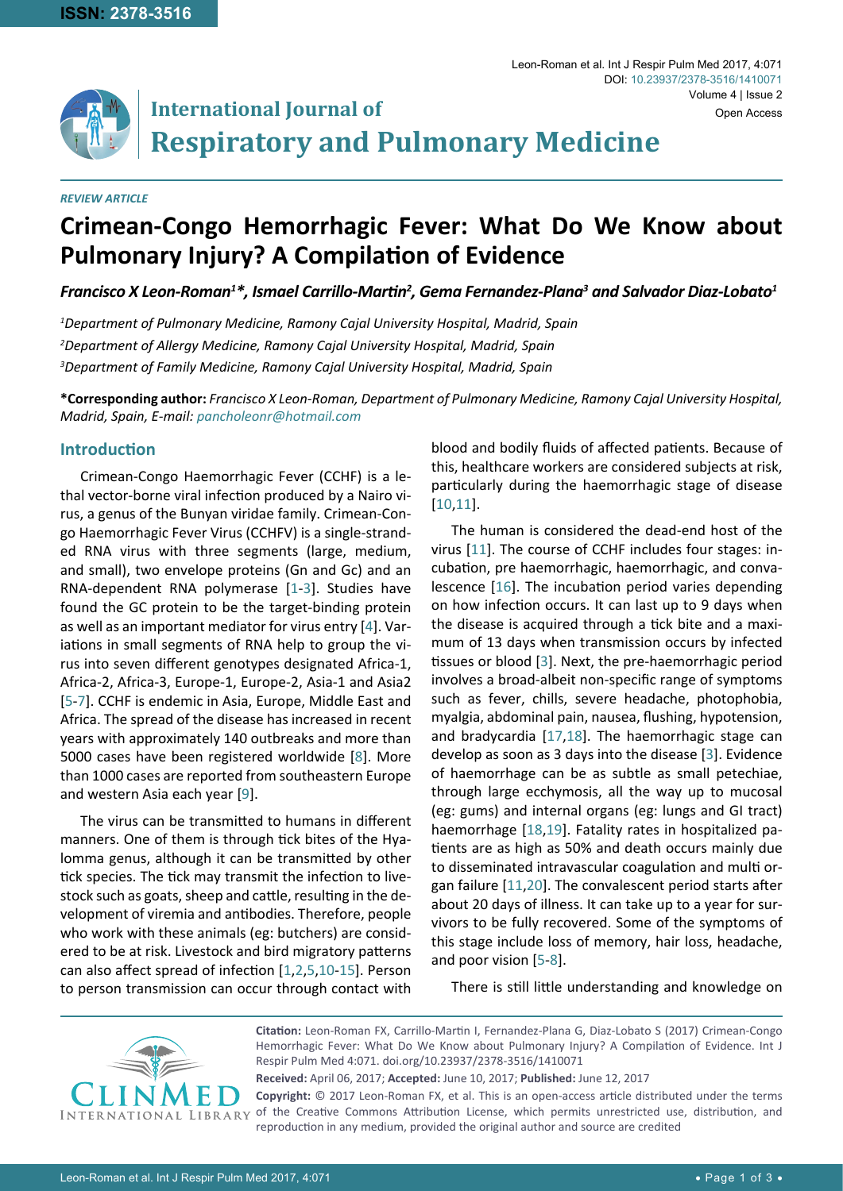

#### *REVIEW ARTICLE*

# **Crimean-Congo Hemorrhagic Fever: What Do We Know about Pulmonary Injury? A Compilation of Evidence**

**Respiratory and Pulmonary Medicine**

*Francisco X Leon-Roman1 \*, Ismael Carrillo-Martin<sup>2</sup> , Gema Fernandez-Plana3 and Salvador Diaz-Lobato1*

*1 Department of Pulmonary Medicine, Ramony Cajal University Hospital, Madrid, Spain 2 Department of Allergy Medicine, Ramony Cajal University Hospital, Madrid, Spain 3 Department of Family Medicine, Ramony Cajal University Hospital, Madrid, Spain*

**International Journal of**

**\*Corresponding author:** *Francisco X Leon-Roman, Department of Pulmonary Medicine, Ramony Cajal University Hospital, Madrid, Spain, E-mail: pancholeonr@hotmail.com*

## **Introduction**

Crimean-Congo Haemorrhagic Fever (CCHF) is a lethal vector-borne viral infection produced by a Nairo virus, a genus of the Bunyan viridae family. Crimean-Congo Haemorrhagic Fever Virus (CCHFV) is a single-stranded RNA virus with three segments (large, medium, and small), two envelope proteins (Gn and Gc) and an RNA-dependent RNA polymerase [\[1](#page-2-10)-[3\]](#page-2-3). Studies have found the GC protein to be the target-binding protein as well as an important mediator for virus entry [\[4\]](#page-2-11). Variations in small segments of RNA help to group the virus into seven different genotypes designated Africa-1, Africa-2, Africa-3, Europe-1, Europe-2, Asia-1 and Asia2 [[5](#page-2-8)-[7](#page-2-12)]. CCHF is endemic in Asia, Europe, Middle East and Africa. The spread of the disease has increased in recent years with approximately 140 outbreaks and more than 5000 cases have been registered worldwide [[8](#page-2-9)]. More than 1000 cases are reported from southeastern Europe and western Asia each year [[9](#page-2-13)].

The virus can be transmitted to humans in different manners. One of them is through tick bites of the Hyalomma genus, although it can be transmitted by other tick species. The tick may transmit the infection to livestock such as goats, sheep and cattle, resulting in the development of viremia and antibodies. Therefore, people who work with these animals (eg: butchers) are considered to be at risk. Livestock and bird migratory patterns can also affect spread of infection [\[1](#page-2-10),[2](#page-2-14),[5](#page-2-8),[10](#page-2-0)-[15\]](#page-2-15). Person to person transmission can occur through contact with blood and bodily fluids of affected patients. Because of this, healthcare workers are considered subjects at risk, particularly during the haemorrhagic stage of disease [[10](#page-2-0),[11](#page-2-1)].

The human is considered the dead-end host of the virus [[11\]](#page-2-1). The course of CCHF includes four stages: incubation, pre haemorrhagic, haemorrhagic, and convalescence [\[16](#page-2-2)]. The incubation period varies depending on how infection occurs. It can last up to 9 days when the disease is acquired through a tick bite and a maximum of 13 days when transmission occurs by infected tissues or blood [[3](#page-2-3)]. Next, the pre-haemorrhagic period involves a broad-albeit non-specific range of symptoms such as fever, chills, severe headache, photophobia, myalgia, abdominal pain, nausea, flushing, hypotension, and bradycardia [\[17](#page-2-4),[18](#page-2-5)]. The haemorrhagic stage can develop as soon as 3 days into the disease [[3](#page-2-3)]. Evidence of haemorrhage can be as subtle as small petechiae, through large ecchymosis, all the way up to mucosal (eg: gums) and internal organs (eg: lungs and GI tract) haemorrhage [\[18](#page-2-5),[19](#page-2-6)]. Fatality rates in hospitalized patients are as high as 50% and death occurs mainly due to disseminated intravascular coagulation and multi organ failure [\[11](#page-2-1),[20](#page-2-7)]. The convalescent period starts after about 20 days of illness. It can take up to a year for survivors to be fully recovered. Some of the symptoms of this stage include loss of memory, hair loss, headache, and poor vision [[5](#page-2-8)-[8](#page-2-9)].

There is still little understanding and knowledge on



**Citation:** Leon-Roman FX, Carrillo-Martin I, Fernandez-Plana G, Diaz-Lobato S (2017) Crimean-Congo Hemorrhagic Fever: What Do We Know about Pulmonary Injury? A Compilation of Evidence. Int J Respir Pulm Med 4:071. [doi.org/10.23937/2378-3516/141007](https://doi.org/10.23937/2378-3516/1410071)1

**Received:** April 06, 2017; **Accepted:** June 10, 2017; **Published:** June 12, 2017

**Copyright:** © 2017 Leon-Roman FX, et al. This is an open-access article distributed under the terms of the Creative Commons Attribution License, which permits unrestricted use, distribution, and reproduction in any medium, provided the original author and source are credited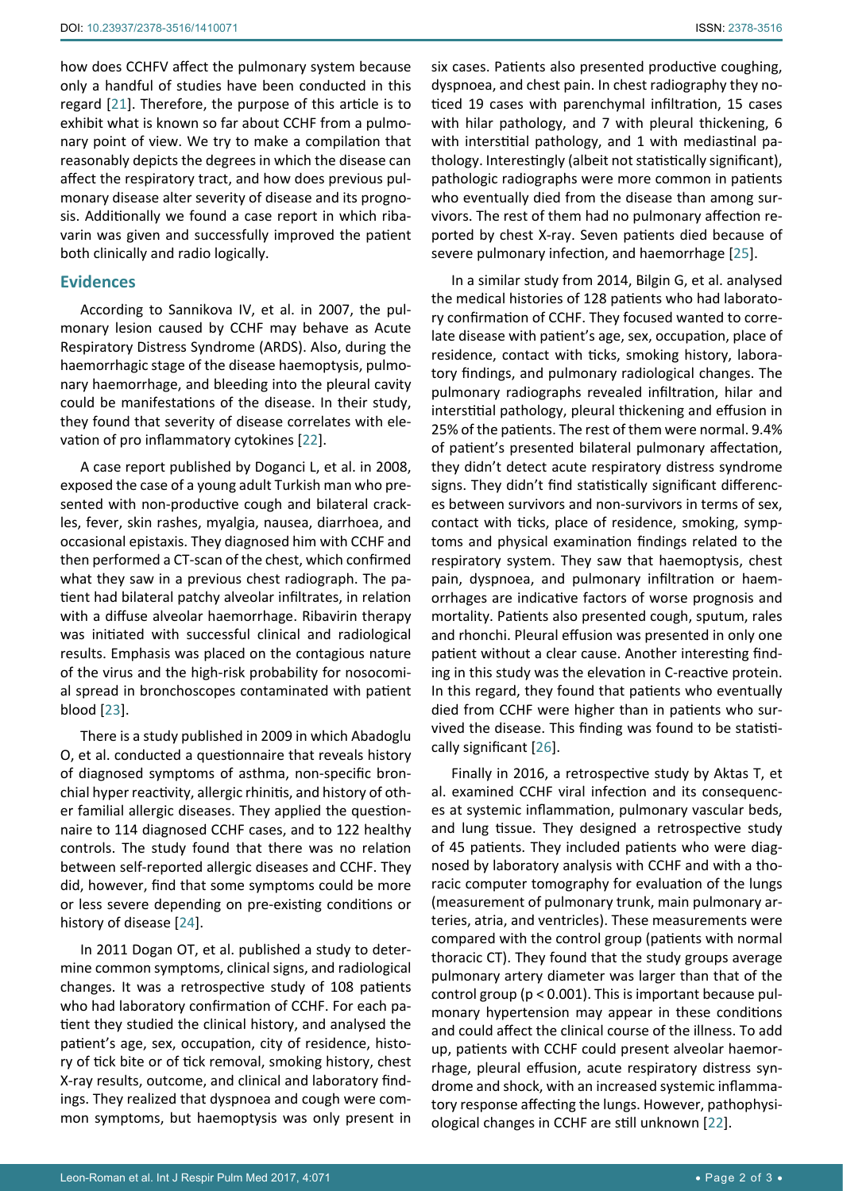how does CCHFV affect the pulmonary system because only a handful of studies have been conducted in this regard [[21\]](#page-2-19). Therefore, the purpose of this article is to exhibit what is known so far about CCHF from a pulmonary point of view. We try to make a compilation that reasonably depicts the degrees in which the disease can affect the respiratory tract, and how does previous pulmonary disease alter severity of disease and its prognosis. Additionally we found a case report in which ribavarin was given and successfully improved the patient both clinically and radio logically.

#### **Evidences**

According to Sannikova IV, et al. in 2007, the pulmonary lesion caused by CCHF may behave as Acute Respiratory Distress Syndrome (ARDS). Also, during the haemorrhagic stage of the disease haemoptysis, pulmonary haemorrhage, and bleeding into the pleural cavity could be manifestations of the disease. In their study, they found that severity of disease correlates with elevation of pro inflammatory cytokines [[22\]](#page-2-18).

A case report published by Doganci L, et al. in 2008, exposed the case of a young adult Turkish man who presented with non-productive cough and bilateral crackles, fever, skin rashes, myalgia, nausea, diarrhoea, and occasional epistaxis. They diagnosed him with CCHF and then performed a CT-scan of the chest, which confirmed what they saw in a previous chest radiograph. The patient had bilateral patchy alveolar infiltrates, in relation with a diffuse alveolar haemorrhage. Ribavirin therapy was initiated with successful clinical and radiological results. Emphasis was placed on the contagious nature of the virus and the high-risk probability for nosocomial spread in bronchoscopes contaminated with patient blood [\[23](#page-2-20)].

There is a study published in 2009 in which Abadoglu O, et al. conducted a questionnaire that reveals history of diagnosed symptoms of asthma, non-specific bronchial hyper reactivity, allergic rhinitis, and history of other familial allergic diseases. They applied the questionnaire to 114 diagnosed CCHF cases, and to 122 healthy controls. The study found that there was no relation between self-reported allergic diseases and CCHF. They did, however, find that some symptoms could be more or less severe depending on pre-existing conditions or history of disease [[24\]](#page-2-21).

In 2011 Dogan OT, et al. published a study to determine common symptoms, clinical signs, and radiological changes. It was a retrospective study of 108 patients who had laboratory confirmation of CCHF. For each patient they studied the clinical history, and analysed the patient's age, sex, occupation, city of residence, history of tick bite or of tick removal, smoking history, chest X-ray results, outcome, and clinical and laboratory findings. They realized that dyspnoea and cough were common symptoms, but haemoptysis was only present in six cases. Patients also presented productive coughing, dyspnoea, and chest pain. In chest radiography they noticed 19 cases with parenchymal infiltration, 15 cases with hilar pathology, and 7 with pleural thickening, 6 with interstitial pathology, and 1 with mediastinal pathology. Interestingly (albeit not statistically significant), pathologic radiographs were more common in patients who eventually died from the disease than among survivors. The rest of them had no pulmonary affection reported by chest X-ray. Seven patients died because of severe pulmonary infection, and haemorrhage [\[25](#page-2-16)].

In a similar study from 2014, Bilgin G, et al. analysed the medical histories of 128 patients who had laboratory confirmation of CCHF. They focused wanted to correlate disease with patient's age, sex, occupation, place of residence, contact with ticks, smoking history, laboratory findings, and pulmonary radiological changes. The pulmonary radiographs revealed infiltration, hilar and interstitial pathology, pleural thickening and effusion in 25% of the patients. The rest of them were normal. 9.4% of patient's presented bilateral pulmonary affectation, they didn't detect acute respiratory distress syndrome signs. They didn't find statistically significant differences between survivors and non-survivors in terms of sex, contact with ticks, place of residence, smoking, symptoms and physical examination findings related to the respiratory system. They saw that haemoptysis, chest pain, dyspnoea, and pulmonary infiltration or haemorrhages are indicative factors of worse prognosis and mortality. Patients also presented cough, sputum, rales and rhonchi. Pleural effusion was presented in only one patient without a clear cause. Another interesting finding in this study was the elevation in C-reactive protein. In this regard, they found that patients who eventually died from CCHF were higher than in patients who survived the disease. This finding was found to be statistically significant [[26\]](#page-2-17).

Finally in 2016, a retrospective study by Aktas T, et al. examined CCHF viral infection and its consequences at systemic inflammation, pulmonary vascular beds, and lung tissue. They designed a retrospective study of 45 patients. They included patients who were diagnosed by laboratory analysis with CCHF and with a thoracic computer tomography for evaluation of the lungs (measurement of pulmonary trunk, main pulmonary arteries, atria, and ventricles). These measurements were compared with the control group (patients with normal thoracic CT). They found that the study groups average pulmonary artery diameter was larger than that of the control group (p < 0.001). This is important because pulmonary hypertension may appear in these conditions and could affect the clinical course of the illness. To add up, patients with CCHF could present alveolar haemorrhage, pleural effusion, acute respiratory distress syndrome and shock, with an increased systemic inflammatory response affecting the lungs. However, pathophysiological changes in CCHF are still unknown [[22](#page-2-18)].